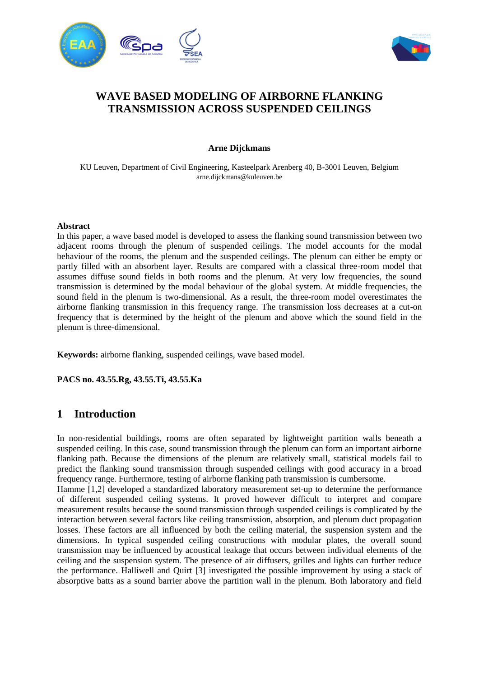



# **WAVE BASED MODELING OF AIRBORNE FLANKING TRANSMISSION ACROSS SUSPENDED CEILINGS**

## **Arne Dijckmans**

KU Leuven, Department of Civil Engineering, Kasteelpark Arenberg 40, B-3001 Leuven, Belgium arne.dijckmans@kuleuven.be

### **Abstract**

In this paper, a wave based model is developed to assess the flanking sound transmission between two adjacent rooms through the plenum of suspended ceilings. The model accounts for the modal behaviour of the rooms, the plenum and the suspended ceilings. The plenum can either be empty or partly filled with an absorbent layer. Results are compared with a classical three-room model that assumes diffuse sound fields in both rooms and the plenum. At very low frequencies, the sound transmission is determined by the modal behaviour of the global system. At middle frequencies, the sound field in the plenum is two-dimensional. As a result, the three-room model overestimates the airborne flanking transmission in this frequency range. The transmission loss decreases at a cut-on frequency that is determined by the height of the plenum and above which the sound field in the plenum is three-dimensional.

**Keywords:** airborne flanking, suspended ceilings, wave based model.

**PACS no. 43.55.Rg, 43.55.Ti, 43.55.Ka**

# **1 Introduction**

In non-residential buildings, rooms are often separated by lightweight partition walls beneath a suspended ceiling. In this case, sound transmission through the plenum can form an important airborne flanking path. Because the dimensions of the plenum are relatively small, statistical models fail to predict the flanking sound transmission through suspended ceilings with good accuracy in a broad frequency range. Furthermore, testing of airborne flanking path transmission is cumbersome.

Hamme [1,2] developed a standardized laboratory measurement set-up to determine the performance of different suspended ceiling systems. It proved however difficult to interpret and compare measurement results because the sound transmission through suspended ceilings is complicated by the interaction between several factors like ceiling transmission, absorption, and plenum duct propagation losses. These factors are all influenced by both the ceiling material, the suspension system and the dimensions. In typical suspended ceiling constructions with modular plates, the overall sound transmission may be influenced by acoustical leakage that occurs between individual elements of the ceiling and the suspension system. The presence of air diffusers, grilles and lights can further reduce the performance. Halliwell and Quirt [3] investigated the possible improvement by using a stack of absorptive batts as a sound barrier above the partition wall in the plenum. Both laboratory and field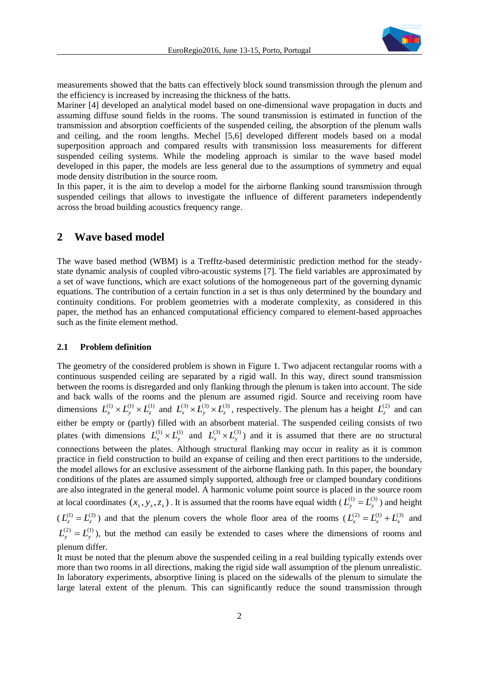

measurements showed that the batts can effectively block sound transmission through the plenum and the efficiency is increased by increasing the thickness of the batts.

Mariner [4] developed an analytical model based on one-dimensional wave propagation in ducts and assuming diffuse sound fields in the rooms. The sound transmission is estimated in function of the transmission and absorption coefficients of the suspended ceiling, the absorption of the plenum walls and ceiling, and the room lengths. Mechel [5,6] developed different models based on a modal superposition approach and compared results with transmission loss measurements for different suspended ceiling systems. While the modeling approach is similar to the wave based model developed in this paper, the models are less general due to the assumptions of symmetry and equal mode density distribution in the source room.

In this paper, it is the aim to develop a model for the airborne flanking sound transmission through suspended ceilings that allows to investigate the influence of different parameters independently across the broad building acoustics frequency range.

# **2 Wave based model**

The wave based method (WBM) is a Trefftz-based deterministic prediction method for the steadystate dynamic analysis of coupled vibro-acoustic systems [7]. The field variables are approximated by a set of wave functions, which are exact solutions of the homogeneous part of the governing dynamic equations. The contribution of a certain function in a set is thus only determined by the boundary and continuity conditions. For problem geometries with a moderate complexity, as considered in this paper, the method has an enhanced computational efficiency compared to element-based approaches such as the finite element method.

#### **2.1 Problem definition**

The geometry of the considered problem is shown in Figure 1. Two adjacent rectangular rooms with a continuous suspended ceiling are separated by a rigid wall. In this way, direct sound transmission between the rooms is disregarded and only flanking through the plenum is taken into account. The side and back walls of the rooms and the plenum are assumed rigid. Source and receiving room have dimensions  $L_x^{(1)} \times L_y^{(1)} \times L_z^{(1)}$  and  $L_x^{(3)} \times L_y^{(3)} \times L_z^{(3)}$ , respectively. The plenum has a height  $L_z^{(2)}$  and can either be empty or (partly) filled with an absorbent material. The suspended ceiling consists of two plates (with dimensions  $L_x^{(1)} \times L_y^{(1)}$  and  $L_x^{(3)} \times L_y^{(3)}$ ) and it is assumed that there are no structural connections between the plates. Although structural flanking may occur in reality as it is common practice in field construction to build an expanse of ceiling and then erect partitions to the underside, the model allows for an exclusive assessment of the airborne flanking path. In this paper, the boundary conditions of the plates are assumed simply supported, although free or clamped boundary conditions are also integrated in the general model. A harmonic volume point source is placed in the source room at local coordinates  $(x_s, y_s, z_s)$ . It is assumed that the rooms have equal width  $(L_y^{(1)} = L_y^{(3)})$  and height  $(L_z^{(1)} = L_z^{(3)})$  and that the plenum covers the whole floor area of the rooms  $(L_x^{(2)} = L_x^{(1)} + L_x^{(3)}$  and  $L_y^{(2)} = L_y^{(1)}$ ), but the method can easily be extended to cases where the dimensions of rooms and plenum differ.

It must be noted that the plenum above the suspended ceiling in a real building typically extends over more than two rooms in all directions, making the rigid side wall assumption of the plenum unrealistic. In laboratory experiments, absorptive lining is placed on the sidewalls of the plenum to simulate the large lateral extent of the plenum. This can significantly reduce the sound transmission through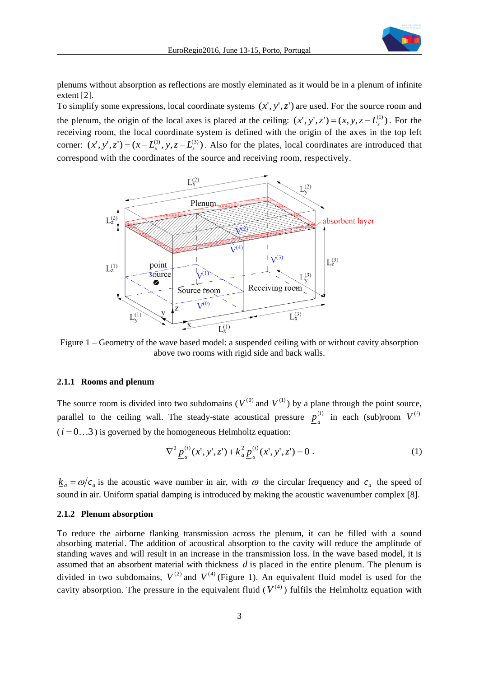

plenums without absorption as reflections are mostly eleminated as it would be in a plenum of infinite extent [2].

To simplify some expressions, local coordinate systems  $(x', y', z')$  are used. For the source room and the plenum, the origin of the local axes is placed at the ceiling:  $(x', y', z') = (x, y, z - L_z^{(1)})$ . For the receiving room, the local coordinate system is defined with the origin of the axes in the top left corner:  $(x', y', z') = (x - L_x^{(1)}, y, z - L_z^{(3)})$ . Also for the plates, local coordinates are introduced that correspond with the coordinates of the source and receiving room, respectively.



Figure 1 – Geometry of the wave based model: a suspended ceiling with or without cavity absorption above two rooms with rigid side and back walls.

#### **2.1.1 Rooms and plenum**

The source room is divided into two subdomains ( $V^{(0)}$  and  $V^{(1)}$ ) by a plane through the point source, parallel to the ceiling wall. The steady-state acoustical pressure  $p^{(i)}$  $\underline{p}_a^{(i)}$  in each (sub)room  $V^{(i)}$  $(i = 0...3)$  is governed by the homogeneous Helmholtz equation:

$$
\nabla^2 \underline{p}_a^{(i)}(x', y', z') + \underline{k}_a^2 \underline{p}_a^{(i)}(x', y', z') = 0.
$$
 (1)

 $\underline{k}_a = \omega/c_a$  is the acoustic wave number in air, with  $\omega$  the circular frequency and  $c_a$  the speed of sound in air. Uniform spatial damping is introduced by making the acoustic wavenumber complex [8].

### **2.1.2 Plenum absorption**

To reduce the airborne flanking transmission across the plenum, it can be filled with a sound absorbing material. The addition of acoustical absorption to the cavity will reduce the amplitude of standing waves and will result in an increase in the transmission loss. In the wave based model, it is assumed that an absorbent material with thickness *d* is placed in the entire plenum. The plenum is divided in two subdomains,  $V^{(2)}$  and  $V^{(4)}$  (Figure 1). An equivalent fluid model is used for the cavity absorption. The pressure in the equivalent fluid  $(V^{(4)})$  fulfils the Helmholtz equation with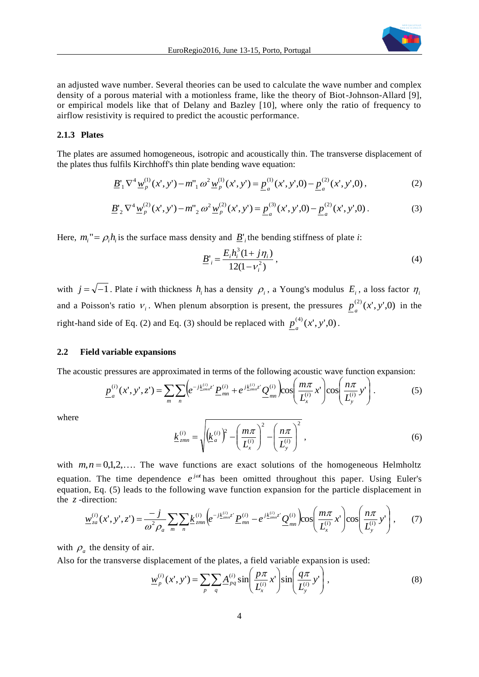

an adjusted wave number. Several theories can be used to calculate the wave number and complex density of a porous material with a motionless frame, like the theory of Biot-Johnson-Allard [9], or empirical models like that of Delany and Bazley [10], where only the ratio of frequency to airflow resistivity is required to predict the acoustic performance.

## **2.1.3 Plates**

The plates are assumed homogeneous, isotropic and acoustically thin. The transverse displacement of the plates thus fulfils Kirchhoff's thin plate bending wave equation:

$$
\underline{B}_{1}^{'}\nabla^{4}\underline{w}_{p}^{(1)}(x',y') - m_{1}^{''}\omega^{2}\underline{w}_{p}^{(1)}(x',y') = \underline{p}_{a}^{(1)}(x',y',0) - \underline{p}_{a}^{(2)}(x',y',0) \,,\tag{2}
$$

$$
\underline{B'}_{2} \nabla^{4} \underline{w}_{p}^{(2)}(x', y') - m_{2}^{v} \omega^{2} \underline{w}_{p}^{(2)}(x', y') = \underline{p}_{a}^{(3)}(x', y', 0) - \underline{p}_{a}^{(2)}(x', y', 0) \,.
$$
 (3)

Here,  $m_i$ <sup>"</sup> =  $\rho_i h_i$  is the surface mass density and  $\underline{B}'_i$  the bending stiffness of plate *i*:

$$
\underline{B'}_i = \frac{E_i h_i^3 (1 + j \eta_i)}{12(1 - v_i^2)},
$$
\n(4)

with  $j = \sqrt{-1}$ . Plate *i* with thickness  $h_i$  has a density  $\rho_i$ , a Young's modulus  $E_i$ , a loss factor  $\eta_i$ and a Poisson's ratio  $v_i$ . When plenum absorption is present, the pressures  $p_a^{(2)}(x', y', 0)$  in the right-hand side of Eq. (2) and Eq. (3) should be replaced with  $p_a^{(4)}(x', y', 0)$ .

### **2.2 Field variable expansions**

The acoustic pressures are approximated in terms of the following acoustic wave function expansion:

$$
\underline{p}_a^{(i)}(x', y', z') = \sum_m \sum_n \left( e^{-j\underline{k}_{2mn}^{(i)}} \underline{P}_{mn}^{(i)} + e^{j\underline{k}_{2mn}^{(i)}} \underline{Q}_{mn}^{(i)} \right) \cos\left(\frac{m\pi}{L_x^{(i)}} x'\right) \cos\left(\frac{n\pi}{L_y^{(i)}} y'\right). \tag{5}
$$

where

$$
\underline{k}_{zmn}^{(i)} = \sqrt{\left(k_a^{(i)}\right)^2 - \left(\frac{m\pi}{L_x^{(i)}}\right)^2 - \left(\frac{n\pi}{L_y^{(i)}}\right)^2},
$$
\n(6)

with  $m, n = 0, 1, 2, \ldots$  The wave functions are exact solutions of the homogeneous Helmholtz equation. The time dependence  $e^{j\omega t}$  has been omitted throughout this paper. Using Euler's equation, Eq. (5) leads to the following wave function expansion for the particle displacement in the  $z$ -direction:

$$
\underline{w}_{za}^{(i)}(x',y',z') = \frac{-j}{\omega^2 \rho_a} \sum_{m} \sum_{n} \underline{k}_{zmn}^{(i)} \Big( e^{-j\underline{k}_{zmn}^{(i)}z'} \underline{P}_{mn}^{(i)} - e^{j\underline{k}_{zmn}^{(i)}z'} \underline{Q}_{mn}^{(i)} \Big) \cos \Big( \frac{m\pi}{L_x^{(i)}} x' \Big) \cos \Big( \frac{n\pi}{L_y^{(i)}} y' \Big), \qquad (7)
$$

with  $\rho_a$  the density of air.

Also for the transverse displacement of the plates, a field variable expansion is used:

$$
\underline{w}_{p}^{(i)}(x', y') = \sum_{p} \sum_{q} \underline{A}_{pq}^{(i)} \sin\left(\frac{p\pi}{L_{x}^{(i)}} x'\right) \sin\left(\frac{q\pi}{L_{y}^{(i)}} y'\right),\tag{8}
$$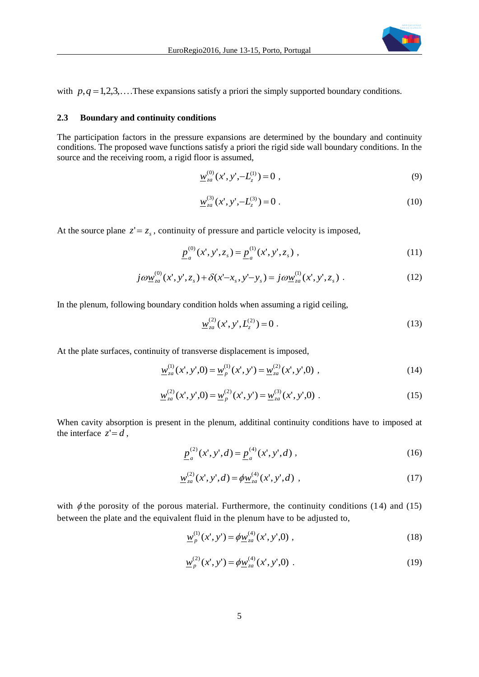

with  $p, q = 1, 2, 3, \ldots$ . These expansions satisfy a priori the simply supported boundary conditions.

#### **2.3 Boundary and continuity conditions**

The participation factors in the pressure expansions are determined by the boundary and continuity conditions. The proposed wave functions satisfy a priori the rigid side wall boundary conditions. In the source and the receiving room, a rigid floor is assumed,

$$
\underline{w}_{za}^{(0)}(x', y', -L_z^{(1)}) = 0 , \qquad (9)
$$

$$
\underline{w}_{za}^{(3)}(x', y', -L_z^{(3)}) = 0.
$$
\n(10)

At the source plane  $z' = z_s$ , continuity of pressure and particle velocity is imposed,

$$
\underline{p}_a^{(0)}(x', y', z_s) = \underline{p}_a^{(1)}(x', y', z_s) \tag{11}
$$

$$
j\omega \underline{w}_{za}^{(0)}(x',y',z_s) + \delta(x'-x_s,y'-y_s) = j\omega \underline{w}_{za}^{(1)}(x',y',z_s) . \qquad (12)
$$

In the plenum, following boundary condition holds when assuming a rigid ceiling,

$$
\underline{w}_{za}^{(2)}(x',y',L_z^{(2)})=0\;.
$$
\t(13)

At the plate surfaces, continuity of transverse displacement is imposed,

$$
\underline{w}_{za}^{(1)}(x', y', 0) = \underline{w}_p^{(1)}(x', y') = \underline{w}_{za}^{(2)}(x', y', 0) ,
$$
\n(14)

$$
\underline{w}_{za}^{(2)}(x', y', 0) = \underline{w}_p^{(2)}(x', y') = \underline{w}_{za}^{(3)}(x', y', 0) \tag{15}
$$

When cavity absorption is present in the plenum, additinal continuity conditions have to imposed at the interface  $z'=d$ ,

$$
\underline{p}_a^{(2)}(x', y', d) = \underline{p}_a^{(4)}(x', y', d) , \qquad (16)
$$

$$
\underline{w}_{za}^{(2)}(x', y', d) = \phi \underline{w}_{za}^{(4)}(x', y', d) \tag{17}
$$

with  $\phi$  the porosity of the porous material. Furthermore, the continuity conditions (14) and (15) between the plate and the equivalent fluid in the plenum have to be adjusted to,

$$
\underline{w}_p^{(1)}(x', y') = \phi \underline{w}_{za}^{(4)}(x', y', 0) , \qquad (18)
$$

$$
\underline{w}_p^{(2)}(x', y') = \phi \underline{w}_{za}^{(4)}(x', y', 0) \tag{19}
$$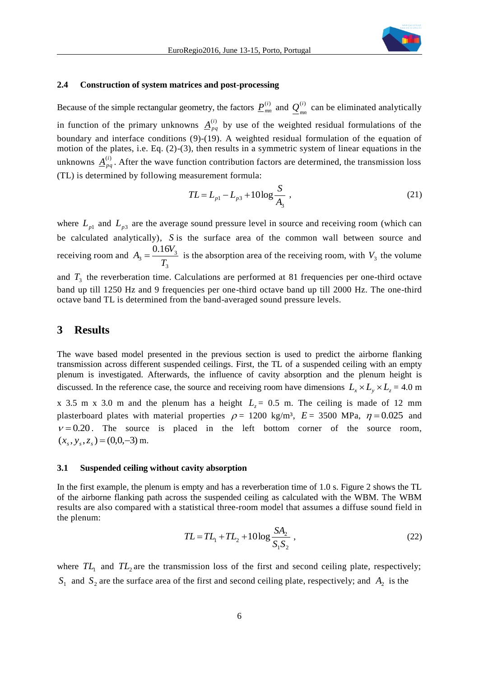

## **2.4 Construction of system matrices and post-processing**

Because of the simple rectangular geometry, the factors  $\underline{P}_{mn}^{(i)}$  and  $\underline{Q}_{mn}^{(i)}$  $\underline{Q}^{(i)}_{mn}$  can be eliminated analytically in function of the primary unknowns  $\underline{A}_{pq}^{(i)}$  by use of the weighted residual formulations of the boundary and interface conditions (9)-(19). A weighted residual formulation of the equation of motion of the plates, i.e. Eq. (2)-(3), then results in a symmetric system of linear equations in the unknowns  $\underline{A}_{pq}^{(i)}$ . After the wave function contribution factors are determined, the transmission loss (TL) is determined by following measurement formula:

$$
TL = L_{p1} - L_{p3} + 10\log\frac{S}{A_3} \tag{21}
$$

where  $L_{p1}$  and  $L_{p3}$  are the average sound pressure level in source and receiving room (which can be calculated analytically), *S* is the surface area of the common wall between source and receiving room and 3  $3=\frac{0.10r_3}{T}$ 0.16 *T*  $A_3 = \frac{0.16V_3}{T}$  is the absorption area of the receiving room, with  $V_3$  the volume and  $T_3$  the reverberation time. Calculations are performed at 81 frequencies per one-third octave band up till 1250 Hz and 9 frequencies per one-third octave band up till 2000 Hz. The one-third octave band TL is determined from the band-averaged sound pressure levels.

# **3 Results**

The wave based model presented in the previous section is used to predict the airborne flanking transmission across different suspended ceilings. First, the TL of a suspended ceiling with an empty plenum is investigated. Afterwards, the influence of cavity absorption and the plenum height is discussed. In the reference case, the source and receiving room have dimensions  $L_x \times L_y \times L_z = 4.0$  m x 3.5 m x 3.0 m and the plenum has a height  $L_z = 0.5$  m. The ceiling is made of 12 mm plasterboard plates with material properties  $\rho = 1200 \text{ kg/m}^3$ ,  $E = 3500 \text{ MPa}$ ,  $\eta = 0.025$  and  $v = 0.20$ . The source is placed in the left bottom corner of the source room,  $(x_s, y_s, z_s) = (0, 0, -3)$  m.

#### **3.1 Suspended ceiling without cavity absorption**

In the first example, the plenum is empty and has a reverberation time of 1.0 s. Figure 2 shows the TL of the airborne flanking path across the suspended ceiling as calculated with the WBM. The WBM results are also compared with a statistical three-room model that assumes a diffuse sound field in the plenum:

$$
TL = TL_1 + TL_2 + 10 \log \frac{SA_2}{S_1 S_2} \tag{22}
$$

where  $TL_1$  and  $TL_2$  are the transmission loss of the first and second ceiling plate, respectively;  $S_1$  and  $S_2$  are the surface area of the first and second ceiling plate, respectively; and  $A_2$  is the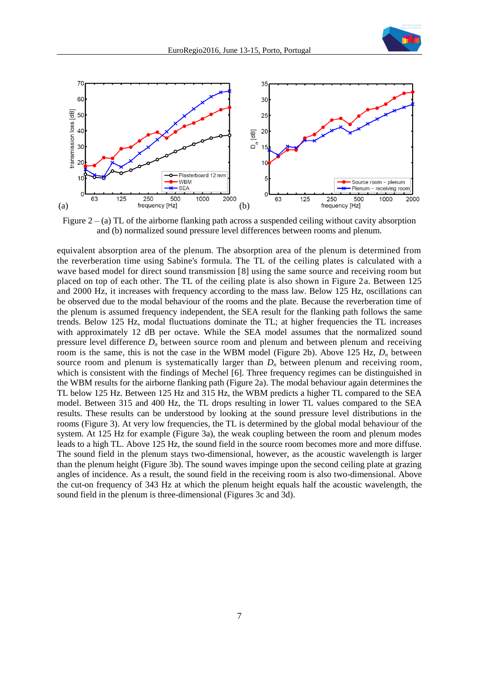



Figure  $2 - (a)$  TL of the airborne flanking path across a suspended ceiling without cavity absorption and (b) normalized sound pressure level differences between rooms and plenum.

equivalent absorption area of the plenum. The absorption area of the plenum is determined from the reverberation time using Sabine's formula. The TL of the ceiling plates is calculated with a wave based model for direct sound transmission [8] using the same source and receiving room but placed on top of each other. The TL of the ceiling plate is also shown in Figure 2a. Between 125 and 2000 Hz, it increases with frequency according to the mass law. Below 125 Hz, oscillations can be observed due to the modal behaviour of the rooms and the plate. Because the reverberation time of the plenum is assumed frequency independent, the SEA result for the flanking path follows the same trends. Below 125 Hz, modal fluctuations dominate the TL; at higher frequencies the TL increases with approximately 12 dB per octave. While the SEA model assumes that the normalized sound pressure level difference  $D_n$  between source room and plenum and between plenum and receiving room is the same, this is not the case in the WBM model (Figure 2b). Above 125 Hz, *D<sup>n</sup>* between source room and plenum is systematically larger than  $D<sub>n</sub>$  between plenum and receiving room, which is consistent with the findings of Mechel [6]. Three frequency regimes can be distinguished in the WBM results for the airborne flanking path (Figure 2a). The modal behaviour again determines the TL below 125 Hz. Between 125 Hz and 315 Hz, the WBM predicts a higher TL compared to the SEA model. Between 315 and 400 Hz, the TL drops resulting in lower TL values compared to the SEA results. These results can be understood by looking at the sound pressure level distributions in the rooms (Figure 3). At very low frequencies, the TL is determined by the global modal behaviour of the system. At 125 Hz for example (Figure 3a), the weak coupling between the room and plenum modes leads to a high TL. Above 125 Hz, the sound field in the source room becomes more and more diffuse. The sound field in the plenum stays two-dimensional, however, as the acoustic wavelength is larger than the plenum height (Figure 3b). The sound waves impinge upon the second ceiling plate at grazing angles of incidence. As a result, the sound field in the receiving room is also two-dimensional. Above the cut-on frequency of 343 Hz at which the plenum height equals half the acoustic wavelength, the sound field in the plenum is three-dimensional (Figures 3c and 3d).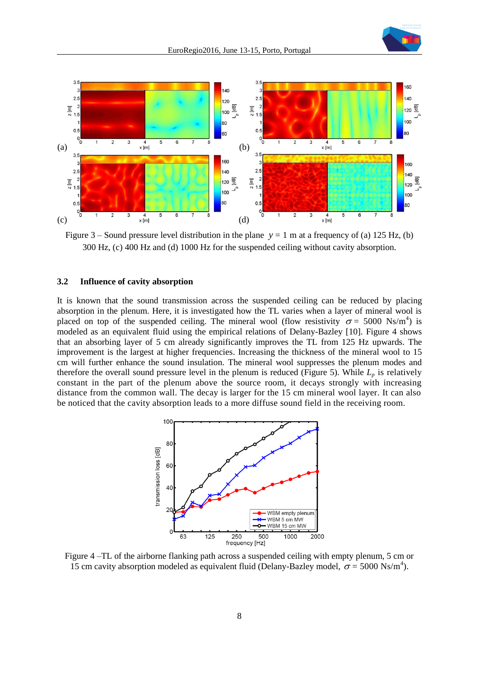



Figure  $3$  – Sound pressure level distribution in the plane  $y = 1$  m at a frequency of (a) 125 Hz, (b) 300 Hz, (c) 400 Hz and (d) 1000 Hz for the suspended ceiling without cavity absorption.

#### **3.2 Influence of cavity absorption**

It is known that the sound transmission across the suspended ceiling can be reduced by placing absorption in the plenum. Here, it is investigated how the TL varies when a layer of mineral wool is placed on top of the suspended ceiling. The mineral wool (flow resistivity  $\sigma = 5000 \text{ Ns/m}^4$ ) is modeled as an equivalent fluid using the empirical relations of Delany-Bazley [10]. Figure 4 shows that an absorbing layer of 5 cm already significantly improves the TL from 125 Hz upwards. The improvement is the largest at higher frequencies. Increasing the thickness of the mineral wool to 15 cm will further enhance the sound insulation. The mineral wool suppresses the plenum modes and therefore the overall sound pressure level in the plenum is reduced (Figure 5). While  $L_p$  is relatively constant in the part of the plenum above the source room, it decays strongly with increasing distance from the common wall. The decay is larger for the 15 cm mineral wool layer. It can also be noticed that the cavity absorption leads to a more diffuse sound field in the receiving room.



Figure 4 –TL of the airborne flanking path across a suspended ceiling with empty plenum, 5 cm or 15 cm cavity absorption modeled as equivalent fluid (Delany-Bazley model,  $\sigma$  = 5000 Ns/m<sup>4</sup>).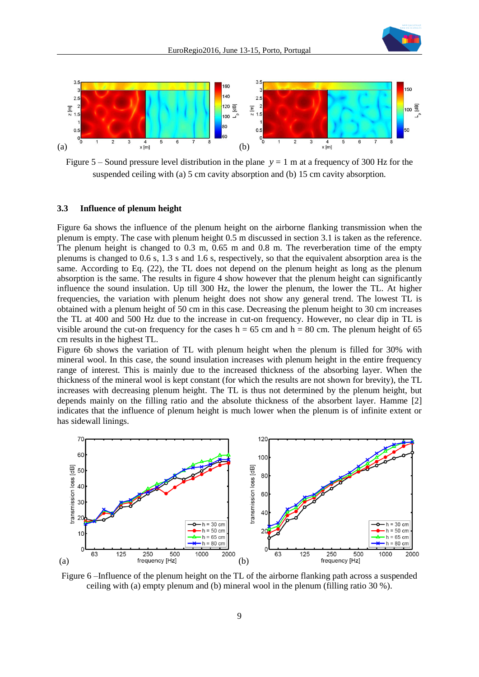



Figure  $5 -$  Sound pressure level distribution in the plane  $y = 1$  m at a frequency of 300 Hz for the suspended ceiling with (a) 5 cm cavity absorption and (b) 15 cm cavity absorption.

#### **3.3 Influence of plenum height**

Figure 6a shows the influence of the plenum height on the airborne flanking transmission when the plenum is empty. The case with plenum height 0.5 m discussed in section 3.1 is taken as the reference. The plenum height is changed to 0.3 m, 0.65 m and 0.8 m. The reverberation time of the empty plenums is changed to 0.6 s, 1.3 s and 1.6 s, respectively, so that the equivalent absorption area is the same. According to Eq. (22), the TL does not depend on the plenum height as long as the plenum absorption is the same. The results in figure 4 show however that the plenum height can significantly influence the sound insulation. Up till 300 Hz, the lower the plenum, the lower the TL. At higher frequencies, the variation with plenum height does not show any general trend. The lowest TL is obtained with a plenum height of 50 cm in this case. Decreasing the plenum height to 30 cm increases the TL at 400 and 500 Hz due to the increase in cut-on frequency. However, no clear dip in TL is visible around the cut-on frequency for the cases  $h = 65$  cm and  $h = 80$  cm. The plenum height of 65 cm results in the highest TL.

Figure 6b shows the variation of TL with plenum height when the plenum is filled for 30% with mineral wool. In this case, the sound insulation increases with plenum height in the entire frequency range of interest. This is mainly due to the increased thickness of the absorbing layer. When the thickness of the mineral wool is kept constant (for which the results are not shown for brevity), the TL increases with decreasing plenum height. The TL is thus not determined by the plenum height, but depends mainly on the filling ratio and the absolute thickness of the absorbent layer. Hamme [2] indicates that the influence of plenum height is much lower when the plenum is of infinite extent or has sidewall linings.



Figure 6 –Influence of the plenum height on the TL of the airborne flanking path across a suspended ceiling with (a) empty plenum and (b) mineral wool in the plenum (filling ratio 30 %).